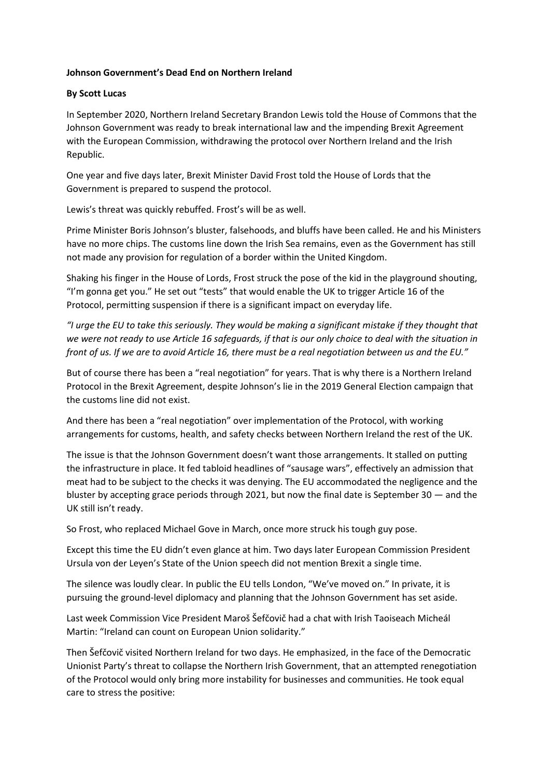## **Johnson Government's Dead End on Northern Ireland**

## **By Scott Lucas**

In September 2020, Northern Ireland Secretary Brandon Lewis told the House of Commons that the Johnson Government was ready to break international law and the impending Brexit Agreement with the European Commission, withdrawing the protocol over Northern Ireland and the Irish Republic.

One year and five days later, Brexit Minister David Frost told the House of Lords that the Government is prepared to suspend the protocol.

Lewis's threat was quickly rebuffed. Frost's will be as well.

Prime Minister Boris Johnson's bluster, falsehoods, and bluffs have been called. He and his Ministers have no more chips. The customs line down the Irish Sea remains, even as the Government has still not made any provision for regulation of a border within the United Kingdom.

Shaking his finger in the House of Lords, Frost struck the pose of the kid in the playground shouting, "I'm gonna get you." He set out "tests" that would enable the UK to trigger Article 16 of the Protocol, permitting suspension if there is a significant impact on everyday life.

*"I urge the EU to take this seriously. They would be making a significant mistake if they thought that we were not ready to use Article 16 safeguards, if that is our only choice to deal with the situation in front of us. If we are to avoid Article 16, there must be a real negotiation between us and the EU."*

But of course there has been a "real negotiation" for years. That is why there is a Northern Ireland Protocol in the Brexit Agreement, despite Johnson's lie in the 2019 General Election campaign that the customs line did not exist.

And there has been a "real negotiation" over implementation of the Protocol, with working arrangements for customs, health, and safety checks between Northern Ireland the rest of the UK.

The issue is that the Johnson Government doesn't want those arrangements. It stalled on putting the infrastructure in place. It fed tabloid headlines of "sausage wars", effectively an admission that meat had to be subject to the checks it was denying. The EU accommodated the negligence and the bluster by accepting grace periods through 2021, but now the final date is September 30 — and the UK still isn't ready.

So Frost, who replaced Michael Gove in March, once more struck his tough guy pose.

Except this time the EU didn't even glance at him. Two days later European Commission President Ursula von der Leyen's State of the Union speech did not mention Brexit a single time.

The silence was loudly clear. In public the EU tells London, "We've moved on." In private, it is pursuing the ground-level diplomacy and planning that the Johnson Government has set aside.

Last week Commission Vice President Maroš Šefčovič had a chat with Irish Taoiseach Micheál Martin: "Ireland can count on European Union solidarity."

Then Šefčovič visited Northern Ireland for two days. He emphasized, in the face of the Democratic Unionist Party's threat to collapse the Northern Irish Government, that an attempted renegotiation of the Protocol would only bring more instability for businesses and communities. He took equal care to stress the positive: